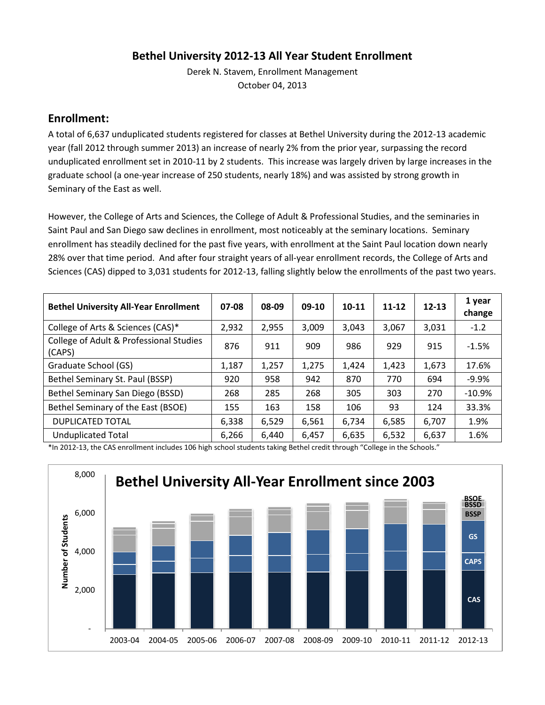### **Bethel University 2012-13 All Year Student Enrollment**

Derek N. Stavem, Enrollment Management October 04, 2013

#### **Enrollment:**

A total of 6,637 unduplicated students registered for classes at Bethel University during the 2012-13 academic year (fall 2012 through summer 2013) an increase of nearly 2% from the prior year, surpassing the record unduplicated enrollment set in 2010-11 by 2 students. This increase was largely driven by large increases in the graduate school (a one-year increase of 250 students, nearly 18%) and was assisted by strong growth in Seminary of the East as well.

However, the College of Arts and Sciences, the College of Adult & Professional Studies, and the seminaries in Saint Paul and San Diego saw declines in enrollment, most noticeably at the seminary locations. Seminary enrollment has steadily declined for the past five years, with enrollment at the Saint Paul location down nearly 28% over that time period. And after four straight years of all-year enrollment records, the College of Arts and Sciences (CAS) dipped to 3,031 students for 2012-13, falling slightly below the enrollments of the past two years.

| <b>Bethel University All-Year Enrollment</b>      | 07-08 | 08-09 | 09-10 | 10-11 | $11 - 12$ | $12 - 13$ | 1 year<br>change |
|---------------------------------------------------|-------|-------|-------|-------|-----------|-----------|------------------|
| College of Arts & Sciences (CAS)*                 | 2,932 | 2,955 | 3,009 | 3,043 | 3,067     | 3,031     | $-1.2$           |
| College of Adult & Professional Studies<br>(CAPS) | 876   | 911   | 909   | 986   | 929       | 915       | $-1.5%$          |
| Graduate School (GS)                              | 1,187 | 1,257 | 1,275 | 1,424 | 1,423     | 1,673     | 17.6%            |
| Bethel Seminary St. Paul (BSSP)                   | 920   | 958   | 942   | 870   | 770       | 694       | $-9.9%$          |
| Bethel Seminary San Diego (BSSD)                  | 268   | 285   | 268   | 305   | 303       | 270       | $-10.9%$         |
| Bethel Seminary of the East (BSOE)                | 155   | 163   | 158   | 106   | 93        | 124       | 33.3%            |
| <b>DUPLICATED TOTAL</b>                           | 6,338 | 6,529 | 6,561 | 6,734 | 6,585     | 6,707     | 1.9%             |
| <b>Unduplicated Total</b>                         | 6,266 | 6,440 | 6,457 | 6,635 | 6,532     | 6,637     | 1.6%             |

\*In 2012-13, the CAS enrollment includes 106 high school students taking Bethel credit through "College in the Schools."

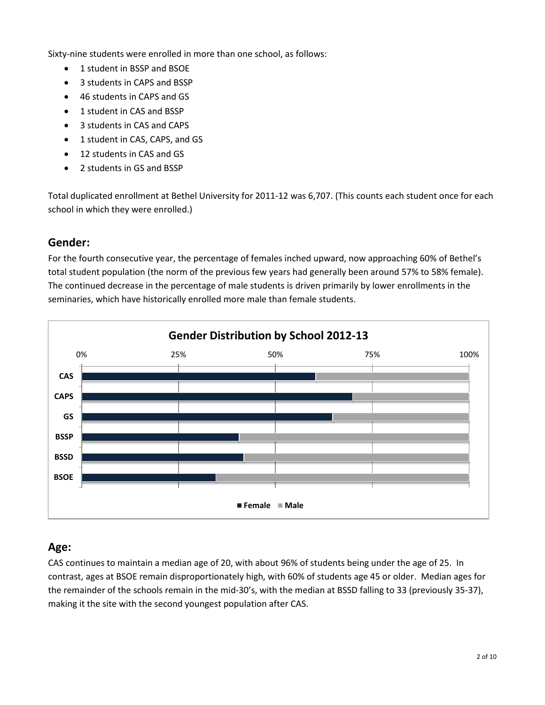Sixty-nine students were enrolled in more than one school, as follows:

- 1 student in BSSP and BSOE
- 3 students in CAPS and BSSP
- 46 students in CAPS and GS
- 1 student in CAS and BSSP
- 3 students in CAS and CAPS
- 1 student in CAS, CAPS, and GS
- 12 students in CAS and GS
- 2 students in GS and BSSP

Total duplicated enrollment at Bethel University for 2011-12 was 6,707. (This counts each student once for each school in which they were enrolled.)

#### **Gender:**

For the fourth consecutive year, the percentage of females inched upward, now approaching 60% of Bethel's total student population (the norm of the previous few years had generally been around 57% to 58% female). The continued decrease in the percentage of male students is driven primarily by lower enrollments in the seminaries, which have historically enrolled more male than female students.



## **Age:**

CAS continues to maintain a median age of 20, with about 96% of students being under the age of 25. In contrast, ages at BSOE remain disproportionately high, with 60% of students age 45 or older. Median ages for the remainder of the schools remain in the mid-30's, with the median at BSSD falling to 33 (previously 35-37), making it the site with the second youngest population after CAS.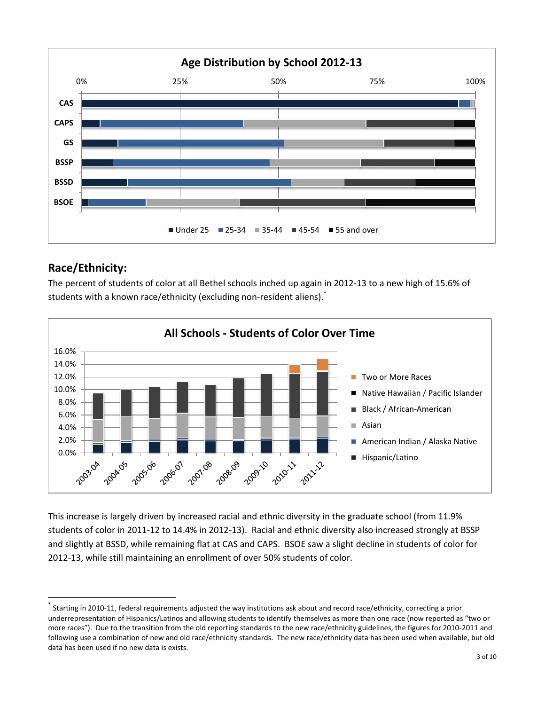

# **Race/Ethnicity:**

 $\overline{\phantom{a}}$ 

The percent of students of color at all Bethel schools inched up again in 2012-13 to a new high of 15.6% of students with a known race/ethnicity (excluding non-resident aliens).<sup>\*</sup>



This increase is largely driven by increased racial and ethnic diversity in the graduate school (from 11.9% students of color in 2011-12 to 14.4% in 2012-13). Racial and ethnic diversity also increased strongly at BSSP and slightly at BSSD, while remaining flat at CAS and CAPS. BSOE saw a slight decline in students of color for 2012-13, while still maintaining an enrollment of over 50% students of color.

<sup>\*</sup> Starting in 2010-11, federal requirements adjusted the way institutions ask about and record race/ethnicity, correcting a prior underrepresentation of Hispanics/Latinos and allowing students to identify themselves as more than one race (now reported as "two or more races"). Due to the transition from the old reporting standards to the new race/ethnicity guidelines, the figures for 2010-2011 and following use a combination of new and old race/ethnicity standards. The new race/ethnicity data has been used when available, but old data has been used if no new data is exists.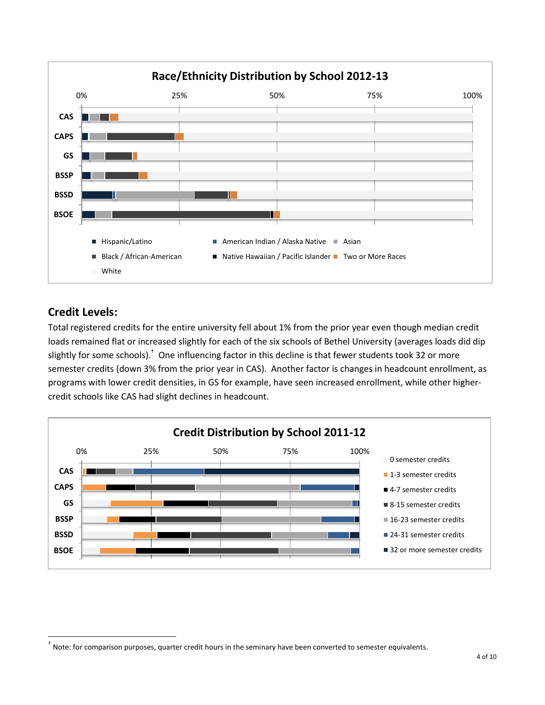

# **Credit Levels:**

 $\overline{\phantom{a}}$ 

Total registered credits for the entire university fell about 1% from the prior year even though median credit loads remained flat or increased slightly for each of the six schools of Bethel University (averages loads did dip slightly for some schools).<sup>†</sup> One influencing factor in this decline is that fewer students took 32 or more semester credits (down 3% from the prior year in CAS). Another factor is changes in headcount enrollment, as programs with lower credit densities, in GS for example, have seen increased enrollment, while other highercredit schools like CAS had slight declines in headcount.



<sup>†</sup> Note: for comparison purposes, quarter credit hours in the seminary have been converted to semester equivalents.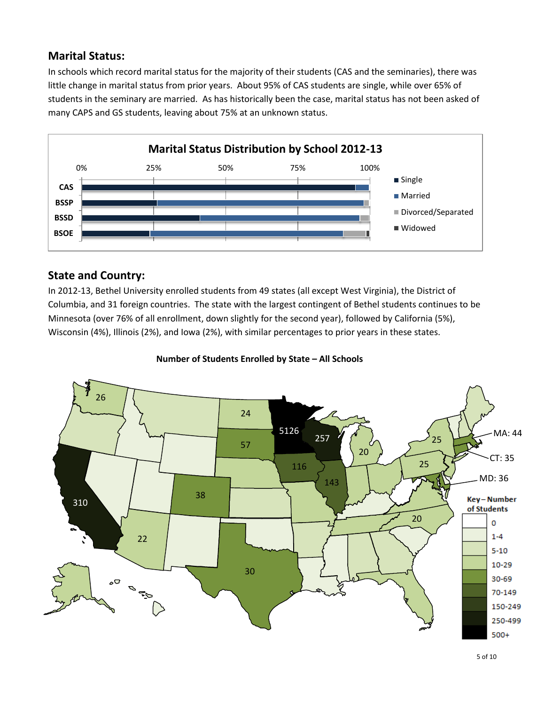## **Marital Status:**

In schools which record marital status for the majority of their students (CAS and the seminaries), there was little change in marital status from prior years. About 95% of CAS students are single, while over 65% of students in the seminary are married. As has historically been the case, marital status has not been asked of many CAPS and GS students, leaving about 75% at an unknown status.



# **State and Country:**

In 2012-13, Bethel University enrolled students from 49 states (all except West Virginia), the District of Columbia, and 31 foreign countries. The state with the largest contingent of Bethel students continues to be Minnesota (over 76% of all enrollment, down slightly for the second year), followed by California (5%), Wisconsin (4%), Illinois (2%), and Iowa (2%), with similar percentages to prior years in these states.



**Number of Students Enrolled by State – All Schools**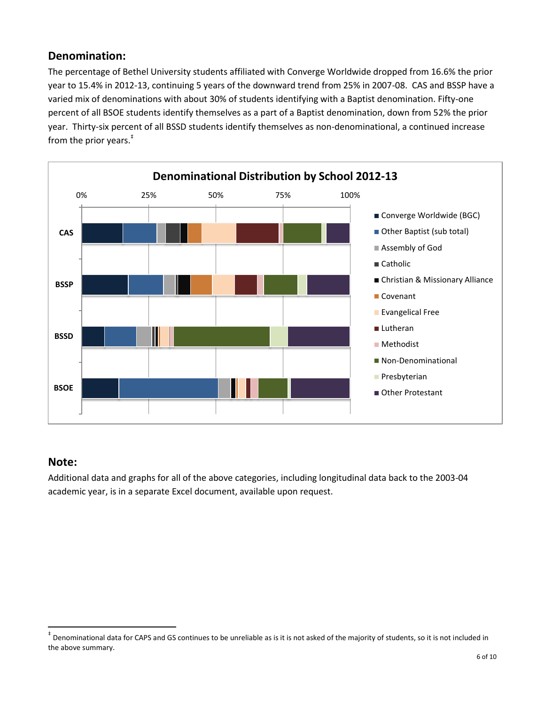## **Denomination:**

The percentage of Bethel University students affiliated with Converge Worldwide dropped from 16.6% the prior year to 15.4% in 2012-13, continuing 5 years of the downward trend from 25% in 2007-08. CAS and BSSP have a varied mix of denominations with about 30% of students identifying with a Baptist denomination. Fifty-one percent of all BSOE students identify themselves as a part of a Baptist denomination, down from 52% the prior year. Thirty-six percent of all BSSD students identify themselves as non-denominational, a continued increase from the prior years. ‡



#### **Note:**

 $\overline{\phantom{a}}$ 

Additional data and graphs for all of the above categories, including longitudinal data back to the 2003-04 academic year, is in a separate Excel document, available upon request.

<sup>‡</sup> Denominational data for CAPS and GS continues to be unreliable as is it is not asked of the majority of students, so it is not included in the above summary.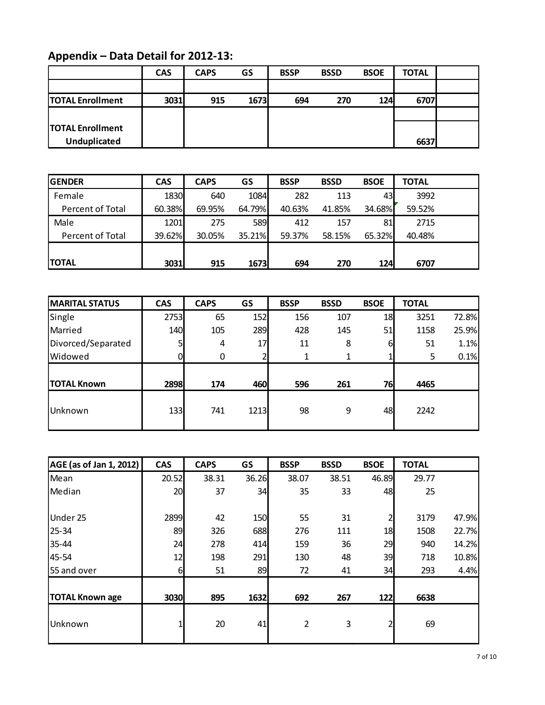# **Appendix – Data Detail for 2012-13:**

| Appendix - Data Detail for 2012-13: |            |             |      |             |             |             |              |  |
|-------------------------------------|------------|-------------|------|-------------|-------------|-------------|--------------|--|
|                                     | <b>CAS</b> | <b>CAPS</b> | GS   | <b>BSSP</b> | <b>BSSD</b> | <b>BSOE</b> | <b>TOTAL</b> |  |
|                                     |            |             |      |             |             |             |              |  |
| <b>TOTAL Enrollment</b>             | 3031       | 915         | 1673 | 694         | 270         | <b>124</b>  | 6707         |  |
|                                     |            |             |      |             |             |             |              |  |
| <b>TOTAL Enrollment</b>             |            |             |      |             |             |             |              |  |
| <b>Unduplicated</b>                 |            |             |      |             |             |             | 6637         |  |

| <b>Unduplicated</b> |            |             |        |             |             |             | 6637         |  |
|---------------------|------------|-------------|--------|-------------|-------------|-------------|--------------|--|
|                     |            |             |        |             |             |             |              |  |
| <b>GENDER</b>       | <b>CAS</b> | <b>CAPS</b> | GS     | <b>BSSP</b> | <b>BSSD</b> | <b>BSOE</b> | <b>TOTAL</b> |  |
| Female              | 1830       | 640         | 1084   | 282         | 113         | 43          | 3992         |  |
| Percent of Total    | 60.38%     | 69.95%      | 64.79% | 40.63%      | 41.85%      | 34.68%      | 59.52%       |  |
| Male                | 1201       | 275         | 589    | 412         | 157         | 81          | 2715         |  |
| Percent of Total    | 39.62%     | 30.05%      | 35.21% | 59.37%      | 58.15%      | 65.32%      | 40.48%       |  |
|                     |            |             |        |             |             |             |              |  |
| <b>TOTAL</b>        | 3031       | 915         | 1673   | 694         | 270         | 124         | 6707         |  |

| <b>TOTAL</b>          | 3031       | 915         | 1673       | 694         | 270         | 124         | 6707         |       |
|-----------------------|------------|-------------|------------|-------------|-------------|-------------|--------------|-------|
|                       |            |             |            |             |             |             |              |       |
| <b>MARITAL STATUS</b> | <b>CAS</b> | <b>CAPS</b> | GS         | <b>BSSP</b> | <b>BSSD</b> | <b>BSOE</b> | <b>TOTAL</b> |       |
| Single                | 2753       | 65          | 152        | 156         | 107         | 18          | 3251         | 72.8% |
| Married               | 140        | 105         | <b>289</b> | 428         | 145         | 51          | 1158         | 25.9% |
| Divorced/Separated    |            | 4           | 17         | 11          | 8           | 6           | 51           | 1.1%  |
| Widowed               |            | 0           | 2          | 1           | 1           |             | 5            | 0.1%  |
|                       |            |             |            |             |             |             |              |       |
| <b>TOTAL Known</b>    | 2898       | 174         | 460        | 596         | 261         | 76          | 4465         |       |
| Unknown               | 133        | 741         | 1213       | 98          | 9           | 48          | 2242         |       |

| AGE (as of Jan 1, 2012) | <b>CAS</b> | <b>CAPS</b> | GS         | <b>BSSP</b> | <b>BSSD</b> | <b>BSOE</b> | <b>TOTAL</b> |       |
|-------------------------|------------|-------------|------------|-------------|-------------|-------------|--------------|-------|
| Mean                    | 20.52      | 38.31       | 36.26      | 38.07       | 38.51       | 46.89       | 29.77        |       |
| Median                  | 20         | 37          | 34         | 35          | 33          | 48          | 25           |       |
| Under 25                | 2899       | 42          | <b>150</b> | 55          | 31          | 2           | 3179         | 47.9% |
| $25 - 34$               | 89         | 326         | 688        | 276         | 111         | 18          | 1508         | 22.7% |
| 35-44                   | 24         | 278         | 414        | 159         | 36          | 29          | 940          | 14.2% |
| 45-54                   | 12         | 198         | 291        | 130         | 48          | 39          | 718          | 10.8% |
| 55 and over             | 6          | 51          | 89         | 72          | 41          | 34          | 293          | 4.4%  |
|                         |            |             |            |             |             |             |              |       |
| <b>TOTAL Known age</b>  | 3030       | 895         | 1632       | 692         | 267         | 122         | 6638         |       |
| Unknown                 |            | 20          | 41         | 2           | 3           | 2           | 69           |       |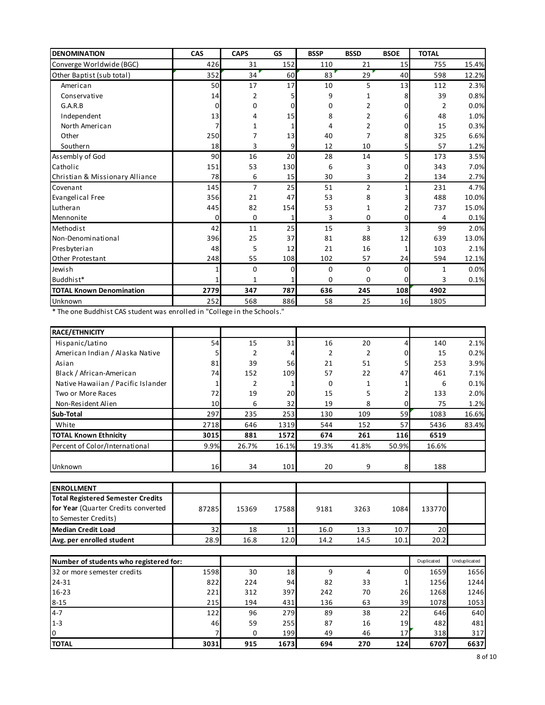| <b>DENOMINATION</b>             | CAS      | <b>CAPS</b>    | GS       | <b>BSSP</b> | <b>BSSD</b>    | <b>BSOE</b>    | <b>TOTAL</b> |       |
|---------------------------------|----------|----------------|----------|-------------|----------------|----------------|--------------|-------|
| Converge Worldwide (BGC)        | 426      | 31             | 152      | 110         | 21             | 15             | 755          | 15.4% |
| Other Baptist (sub total)       | 352      | 34             | 60       | 83          | 29             | 40             | 598          | 12.2% |
| American                        | 50       | 17             | 17       | 10          | 5              | 13             | 112          | 2.3%  |
| Conservative                    | 14       | 2              | 5        | 9           | 1              | 8              | 39           | 0.8%  |
| G.A.R.B                         | $\Omega$ | 0              | 0        | 0           | 2              | 0              | 2            | 0.0%  |
| Independent                     | 13       | 4              | 15       | 8           | 2              | 6              | 48           | 1.0%  |
| North American                  |          | 1              |          | 4           | 2              | 0              | 15           | 0.3%  |
| Other                           | 250      | 7              | 13       | 40          | 7              | 8              | 325          | 6.6%  |
| Southern                        | 18       | 3              | 9        | 12          | 10             | 5 <sup>1</sup> | 57           | 1.2%  |
| Assembly of God                 | 90       | 16             | 20       | 28          | 14             | 5              | 173          | 3.5%  |
| Catholic                        | 151      | 53             | 130      | 6           | 3              | 0              | 343          | 7.0%  |
| Christian & Missionary Alliance | 78       | 6              | 15       | 30          | 3              | 2              | 134          | 2.7%  |
| Covenant                        | 145      | $\overline{7}$ | 25       | 51          | $\overline{2}$ |                | 231          | 4.7%  |
| <b>Evangelical Free</b>         | 356      | 21             | 47       | 53          | 8              | 3              | 488          | 10.0% |
| Lutheran                        | 445      | 82             | 154      | 53          | 1              | 2              | 737          | 15.0% |
| Mennonite                       | $\Omega$ | 0              | 1        | 3           | 0              | 0              | 4            | 0.1%  |
| Methodist                       | 42       | 11             | 25       | 15          | 3              | 3              | 99           | 2.0%  |
| Non-Denominational              | 396      | 25             | 37       | 81          | 88             | 12             | 639          | 13.0% |
| Presbyterian                    | 48       | 5              | 12       | 21          | 16             | 1              | 103          | 2.1%  |
| Other Protestant                | 248      | 55             | 108      | 102         | 57             | 24             | 594          | 12.1% |
| Jewish                          | 1        | 0              | $\Omega$ | 0           | $\Omega$       | 0              | $\mathbf{1}$ | 0.0%  |
| Buddhist*                       | 1        | 1              |          | 0           | $\Omega$       | $\Omega$       | 3            | 0.1%  |
| <b>TOTAL Known Denomination</b> | 2779     | 347            | 787      | 636         | 245            | 108            | 4902         |       |
| Unknown                         | 252      | 568            | 886      | 58          | 25             | 16             | 1805         |       |

| <b>PUTKITOWIT</b>                                                        | اعدے | ەטכ   | 0001  | ၪဝ    | رے    | ᆚᄓ    | <b>1002</b> |       |
|--------------------------------------------------------------------------|------|-------|-------|-------|-------|-------|-------------|-------|
| * The one Buddhist CAS student was enrolled in "College in the Schools." |      |       |       |       |       |       |             |       |
| <b>RACE/ETHNICITY</b>                                                    |      |       |       |       |       |       |             |       |
| Hispanic/Latino                                                          | 54   | 15    | 31    | 16    | 20    |       | 140         | 2.1%  |
| American Indian / Alaska Native                                          |      | 2     |       | 2     | 2     |       | 15          | 0.2%  |
| Asian                                                                    | 81   | 39    | 56    | 21    | 51    |       | 253         | 3.9%  |
| Black / African-American                                                 | 74   | 152   | 109   | 57    | 22    | 47    | 461         | 7.1%  |
| Native Hawaiian / Pacific Islander                                       |      |       |       | 0     |       |       | 6           | 0.1%  |
| Two or More Races                                                        | 72   | 19    | 20    | 15    | 5     |       | 133         | 2.0%  |
| Non-Resident Alien                                                       | 10   | 6     | 32    | 19    | 8     |       | 75          | 1.2%  |
| Sub-Total                                                                | 297  | 235   | 253   | 130   | 109   | 59    | 1083        | 16.6% |
| White                                                                    | 2718 | 646   | 1319  | 544   | 152   | 57    | 5436        | 83.4% |
| TOTAL Known Ethnicity                                                    | 3015 | 881   | 1572  | 674   | 261   | 116   | 6519        |       |
| Percent of Color/International                                           | 9.9% | 26.7% | 16.1% | 19.3% | 41.8% | 50.9% | 16.6%       |       |
| Unknown                                                                  | 16   | 34    | 101   | 20    | 9     | 8     | 188         |       |
|                                                                          |      |       |       |       |       |       |             |       |

| <b>IENROLLMENT</b>                                                                                      |       |       |       |      |      |      |                 |  |
|---------------------------------------------------------------------------------------------------------|-------|-------|-------|------|------|------|-----------------|--|
| <b>Total Registered Semester Credits</b><br>for Year (Quarter Credits converted<br>to Semester Credits) | 87285 | 15369 | 17588 | 9181 | 3263 | 1084 | 133770          |  |
| Median Credit Load                                                                                      | 32    | 18    | 11    | 16.0 | 13.3 | 10.7 | 20 <sup>1</sup> |  |
| Avg. per enrolled student                                                                               | 28.9  | 16.8  | 12.0  | 14.2 | 14.5 | 10.1 | 20.2            |  |

| iiviculari creult Lodu                 | ے ت  | ⊥ບ   | + +  | ⊥∪.∪ | ر. ر د | ⊥∪.≀            | ້          |              |
|----------------------------------------|------|------|------|------|--------|-----------------|------------|--------------|
| Avg. per enrolled student              | 28.9 | 16.8 | 12.0 | 14.2 | 14.5   | 10.1            | 20.2       |              |
|                                        |      |      |      |      |        |                 |            |              |
| Number of students who registered for: |      |      |      |      |        |                 | Duplicated | Unduplicated |
| 32 or more semester credits            | 1598 | 30   | 18   | 9    | 4      | 0               | 1659       | 1656         |
| 24-31                                  | 822  | 224  | 94   | 82   | 33     |                 | 1256       | 1244         |
| $16 - 23$                              | 221  | 312  | 397  | 242  | 70     | 26              | 1268       | 1246         |
| $8 - 15$                               | 215  | 194  | 431  | 136  | 63     | 39              | 1078       | 1053         |
| $4 - 7$                                | 122  | 96   | 279  | 89   | 38     | 22              | 646        | 640          |
| $1 - 3$                                | 46   | 59   | 255  | 87   | 16     | 19              | 482        | 481          |
| Iо                                     |      | 0    | 199  | 49   | 46     | 17 <sub>l</sub> | 318        | 317          |
| <b>TOTAL</b>                           | 3031 | 915  | 1673 | 694  | 270    | 124             | 6707       | 6637         |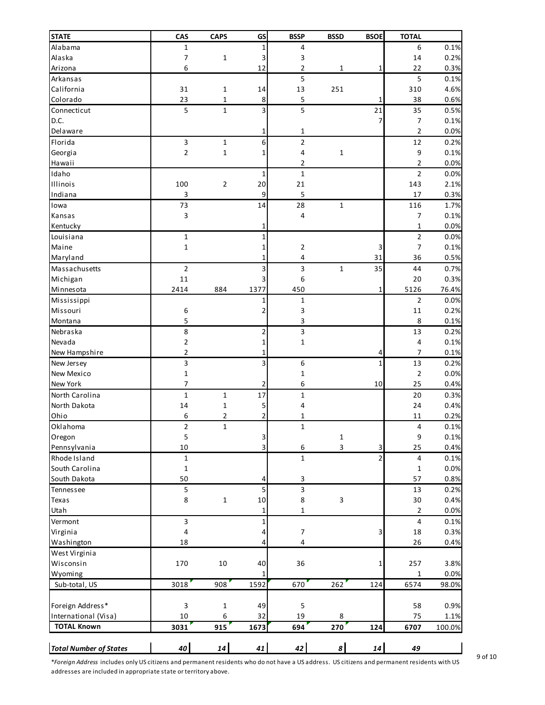| <b>STATE</b>                                                                                                                                 | CAS                     | <b>CAPS</b>  | GS             | <b>BSSP</b>    | <b>BSSD</b>             | <b>BSOE</b> | <b>TOTAL</b>   |              |
|----------------------------------------------------------------------------------------------------------------------------------------------|-------------------------|--------------|----------------|----------------|-------------------------|-------------|----------------|--------------|
| Alabama                                                                                                                                      | $\mathbf{1}$            |              | 1              | 4              |                         |             | 6              | 0.1%         |
| Alaska                                                                                                                                       | 7                       | $\mathbf 1$  | 3              | 3              |                         |             | 14             | 0.2%         |
| Arizona                                                                                                                                      | 6                       |              | 12             | 2              | 1                       | 1           | 22             | 0.3%         |
| Arkansas                                                                                                                                     |                         |              |                | 5              |                         |             | 5              | 0.1%         |
| California                                                                                                                                   | 31                      | 1            | 14             | 13             | 251                     |             | 310            | 4.6%         |
| Colorado                                                                                                                                     | 23                      | $\mathbf{1}$ | 8              | 5              |                         | 1           | 38             | 0.6%         |
| Connecticut                                                                                                                                  | 5                       | $\mathbf{1}$ | 3              | 5              |                         | 21          | 35             | 0.5%         |
| D.C.                                                                                                                                         |                         |              |                |                |                         |             | 7              | 0.1%         |
| Delaware                                                                                                                                     |                         |              | 1              | 1              |                         |             | $\overline{2}$ | 0.0%         |
| Florida                                                                                                                                      | $\overline{\mathbf{3}}$ | $\mathbf{1}$ | 6              | $\mathbf{2}$   |                         |             | 12             | 0.2%         |
| Georgia                                                                                                                                      | $\overline{2}$          | $\mathbf 1$  | 1              | 4              | $\mathbf 1$             |             | 9              | 0.1%         |
| Hawaii                                                                                                                                       |                         |              |                | 2              |                         |             | $\overline{2}$ | 0.0%         |
| Idaho                                                                                                                                        |                         |              | 1              | $\mathbf{1}$   |                         |             | $\overline{2}$ | 0.0%         |
| Illinois                                                                                                                                     | 100                     | 2            | 20             | 21             |                         |             | 143            | 2.1%         |
| Indiana                                                                                                                                      | 3                       |              | 9              | 5              |                         |             | 17             | 0.3%         |
| Iowa                                                                                                                                         | 73                      |              | 14             | 28             | $\mathbf 1$             |             | 116            | 1.7%         |
| Kansas                                                                                                                                       | $\mathsf 3$             |              |                | 4              |                         |             | 7              | 0.1%         |
| Kentucky                                                                                                                                     |                         |              | 1              |                |                         |             | $\mathbf{1}$   | 0.0%         |
| Louisiana                                                                                                                                    | $1\,$                   |              | 1              |                |                         |             | $\overline{2}$ | 0.0%         |
| Maine                                                                                                                                        | $\mathbf 1$             |              | 1              | 2              |                         | 3           | 7              | 0.1%         |
| Maryland                                                                                                                                     |                         |              | 1              | 4              |                         | 31          | 36             | 0.5%         |
| Massachusetts                                                                                                                                | $\overline{2}$          |              | 3              | 3              | $\mathbf{1}$            | 35          | 44             | 0.7%         |
| Michigan                                                                                                                                     | 11                      |              | 3              | 6              |                         |             | 20             | 0.3%         |
| Minnesota                                                                                                                                    | 2414                    | 884          | 1377           | 450            |                         | 1           | 5126           | 76.4%        |
| Mississippi                                                                                                                                  |                         |              |                | $\mathbf{1}$   |                         |             | $\overline{2}$ | 0.0%         |
| Missouri                                                                                                                                     | 6                       |              | 2              | 3              |                         |             | $11\,$         | 0.2%         |
| Montana                                                                                                                                      | 5                       |              |                | 3              |                         |             | 8              | 0.1%         |
| Nebraska                                                                                                                                     | 8                       |              | 2              | 3              |                         |             | 13             | 0.2%         |
| Nevada                                                                                                                                       | $\mathbf 2$             |              | 1              | 1              |                         |             | 4              | 0.1%         |
| New Hampshire                                                                                                                                | $\overline{2}$          |              | 1              |                |                         | 4           | 7              | 0.1%         |
| New Jersey                                                                                                                                   | 3                       |              | 3              | 6              |                         | 1           | 13             | 0.2%         |
| New Mexico                                                                                                                                   | $\mathbf{1}$            |              |                | 1              |                         |             | $\mathbf 2$    | 0.0%         |
| New York                                                                                                                                     | 7                       |              | 2              | 6              |                         | 10          | 25             | 0.4%         |
| North Carolina                                                                                                                               | $\mathbf{1}$            | $\mathbf{1}$ | 17             | $\mathbf{1}$   |                         |             | 20             | 0.3%         |
| North Dakota                                                                                                                                 | 14                      | $\mathbf{1}$ | 5              | 4              |                         |             | 24             | 0.4%         |
| Ohio                                                                                                                                         | 6                       | 2            | $\overline{2}$ | 1              |                         |             | 11             | 0.2%         |
| Oklahoma                                                                                                                                     | $\mathbf 2$             | $\mathbf 1$  |                | $\mathbf 1$    |                         |             | 4              | 0.1%         |
| Oregon                                                                                                                                       | 5                       |              | 3              |                | $\mathbf{1}$            |             | 9              | 0.1%         |
| Pennsylvania                                                                                                                                 | 10                      |              | 3              | 6              | $\overline{\mathbf{3}}$ | 3           | 25             | 0.4%         |
| Rhode Island                                                                                                                                 | $\mathbf 1$             |              |                | $\mathbf{1}$   |                         | 2           | 4              | 0.1%         |
| South Carolina                                                                                                                               | $\mathbf 1$             |              |                |                |                         |             | 1              | 0.0%         |
| South Dakota                                                                                                                                 | 50                      |              | 4              | 3              |                         |             | 57             | 0.8%         |
| Tennessee<br>Texas                                                                                                                           | 5<br>8                  | $\mathbf 1$  | 5<br>10        | 3<br>8         | 3                       |             | 13<br>30       | 0.2%<br>0.4% |
| Utah                                                                                                                                         |                         |              | 1              | 1              |                         |             | 2              | 0.0%         |
| Vermont                                                                                                                                      | 3                       |              | 1              |                |                         |             | 4              | 0.1%         |
| Virginia                                                                                                                                     | $\overline{4}$          |              | 4              | 7              |                         | 3           | 18             | 0.3%         |
| Washington                                                                                                                                   | 18                      |              | 4              | $\overline{4}$ |                         |             | 26             | 0.4%         |
| West Virginia                                                                                                                                |                         |              |                |                |                         |             |                |              |
| Wisconsin                                                                                                                                    | 170                     | 10           | 40             | 36             |                         | 1           | 257            | 3.8%         |
| Wyoming                                                                                                                                      |                         |              |                |                |                         |             | 1              | 0.0%         |
| Sub-total, US                                                                                                                                | 3018                    | 908          | 1592           | 670            | 262                     | 124         | 6574           | 98.0%        |
|                                                                                                                                              |                         |              |                |                |                         |             |                |              |
| Foreign Address*                                                                                                                             | 3                       | $\mathbf{1}$ | 49             | 5              |                         |             | 58             | 0.9%         |
| International (Visa)                                                                                                                         | 10                      | 6            | 32             | 19             | 8                       |             | 75             | 1.1%         |
| <b>TOTAL Known</b>                                                                                                                           | 3031                    | 915          | 1673           | 694            | 270                     | 124         | 6707           | 100.0%       |
|                                                                                                                                              |                         |              |                |                |                         |             |                |              |
| <b>Total Number of States</b>                                                                                                                | 40                      | 14           | 41             | 42             | 8                       | 14          | 49             |              |
| *Foreign Address includes only US citizens and permanent residents who do not have a US address. US citizens and permanent residents with US |                         |              |                |                |                         |             |                |              |

addresses are included in appropriate state or territory above.